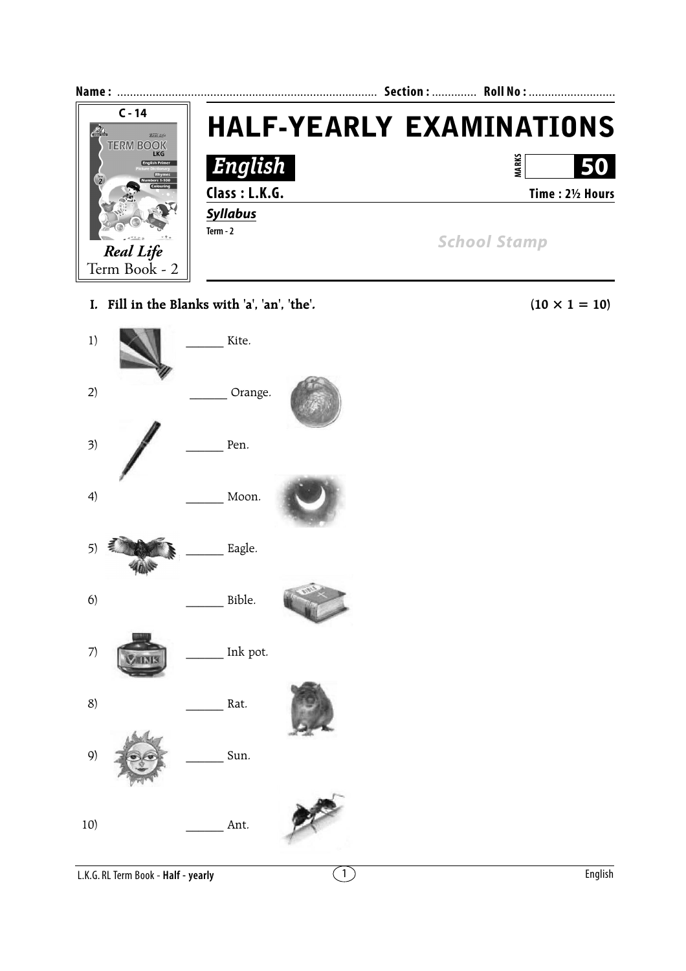

**I. Fill in the Blanks with 'a', 'an', 'the'.** (10  $\times$  1 = 10)

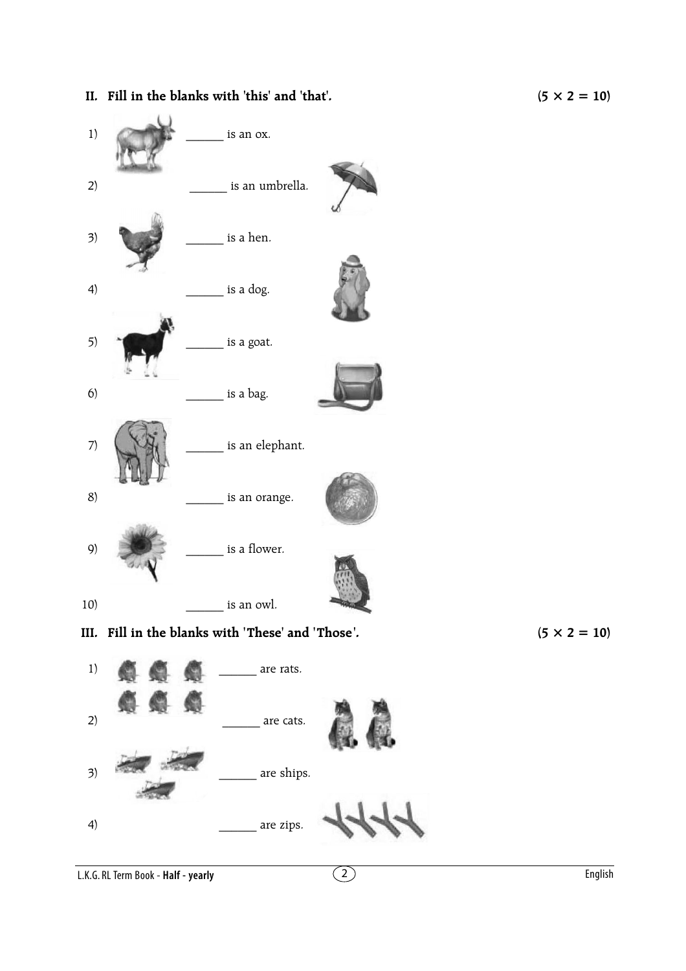## **II.** Fill in the blanks with 'this' and 'that'.  $(5 \times 2 = 10)$





L.K.G. RL Term Book - **Half - yearly**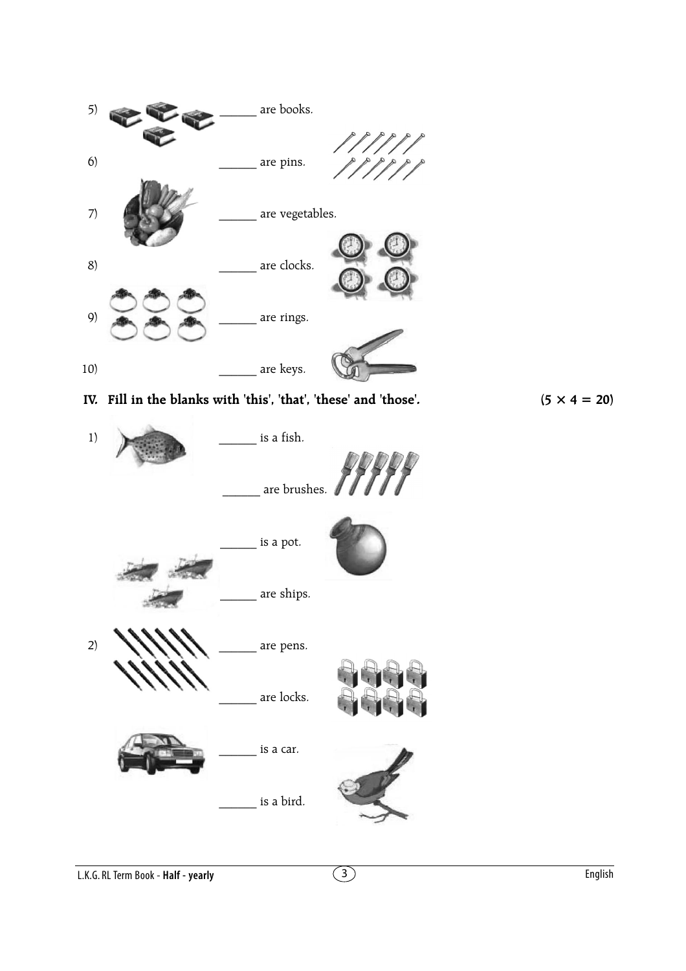